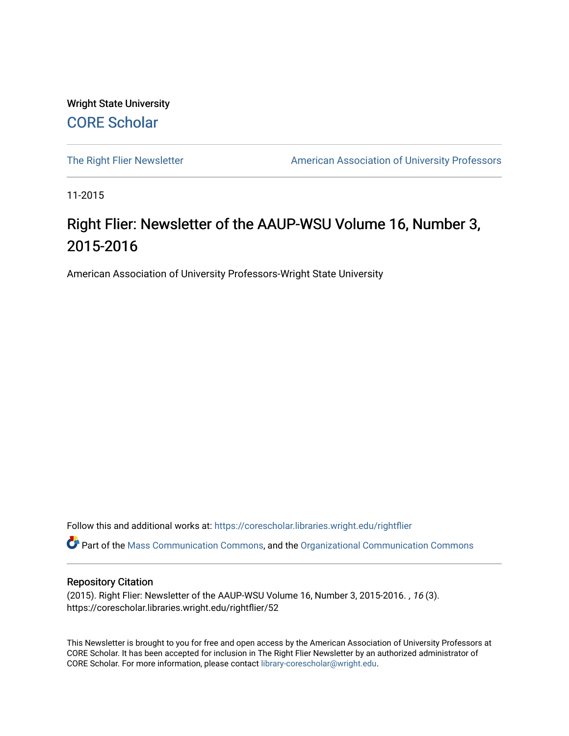Wright State University [CORE Scholar](https://corescholar.libraries.wright.edu/)

[The Right Flier Newsletter](https://corescholar.libraries.wright.edu/rightflier) **American Association of University Professors** 

11-2015

# Right Flier: Newsletter of the AAUP-WSU Volume 16, Number 3, 2015-2016

American Association of University Professors-Wright State University

Follow this and additional works at: [https://corescholar.libraries.wright.edu/rightflier](https://corescholar.libraries.wright.edu/rightflier?utm_source=corescholar.libraries.wright.edu%2Frightflier%2F52&utm_medium=PDF&utm_campaign=PDFCoverPages) 

Part of the [Mass Communication Commons,](http://network.bepress.com/hgg/discipline/334?utm_source=corescholar.libraries.wright.edu%2Frightflier%2F52&utm_medium=PDF&utm_campaign=PDFCoverPages) and the [Organizational Communication Commons](http://network.bepress.com/hgg/discipline/335?utm_source=corescholar.libraries.wright.edu%2Frightflier%2F52&utm_medium=PDF&utm_campaign=PDFCoverPages) 

#### Repository Citation

(2015). Right Flier: Newsletter of the AAUP-WSU Volume 16, Number 3, 2015-2016. , 16 (3). https://corescholar.libraries.wright.edu/rightflier/52

This Newsletter is brought to you for free and open access by the American Association of University Professors at CORE Scholar. It has been accepted for inclusion in The Right Flier Newsletter by an authorized administrator of CORE Scholar. For more information, please contact [library-corescholar@wright.edu](mailto:library-corescholar@wright.edu).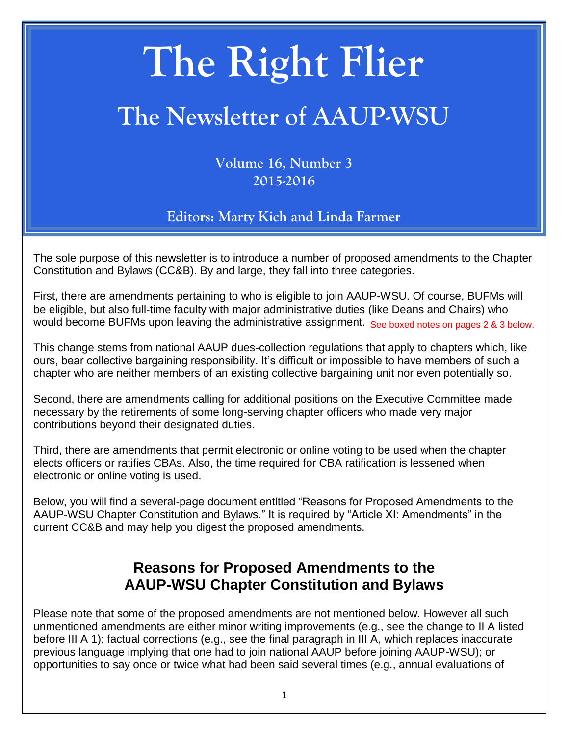# **The Right Flier**

# **The Newsletter of AAUP-WSU**

**Volume 16, Number 3 2015-2016**

**Editors: Marty Kich and Linda Farmer**

The sole purpose of this newsletter is to introduce a number of proposed amendments to the Chapter Constitution and Bylaws (CC&B). By and large, they fall into three categories.

First, there are amendments pertaining to who is eligible to join AAUP-WSU. Of course, BUFMs will be eligible, but also full-time faculty with major administrative duties (like Deans and Chairs) who would become BUFMs upon leaving the administrative assignment. See boxed notes on pages 2 & 3 below.

This change stems from national AAUP dues-collection regulations that apply to chapters which, like ours, bear collective bargaining responsibility. It's difficult or impossible to have members of such a chapter who are neither members of an existing collective bargaining unit nor even potentially so.

Second, there are amendments calling for additional positions on the Executive Committee made necessary by the retirements of some long-serving chapter officers who made very major contributions beyond their designated duties.

Third, there are amendments that permit electronic or online voting to be used when the chapter elects officers or ratifies CBAs. Also, the time required for CBA ratification is lessened when electronic or online voting is used.

Below, you will find a several-page document entitled "Reasons for Proposed Amendments to the AAUP-WSU Chapter Constitution and Bylaws." It is required by "Article XI: Amendments" in the current CC&B and may help you digest the proposed amendments.

# **Reasons for Proposed Amendments to the AAUP-WSU Chapter Constitution and Bylaws**

Please note that some of the proposed amendments are not mentioned below. However all such unmentioned amendments are either minor writing improvements (e.g., see the change to II A listed before III A 1); factual corrections (e.g., see the final paragraph in III A, which replaces inaccurate previous language implying that one had to join national AAUP before joining AAUP-WSU); or opportunities to say once or twice what had been said several times (e.g., annual evaluations of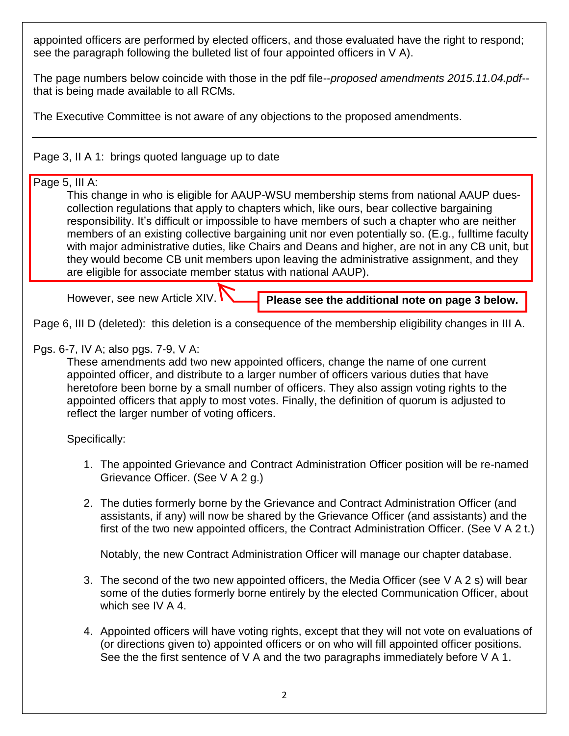appointed officers are performed by elected officers, and those evaluated have the right to respond; see the paragraph following the bulleted list of four appointed officers in V A).

The page numbers below coincide with those in the pdf file--*proposed amendments 2015.11.04.pdf*- that is being made available to all RCMs.

The Executive Committee is not aware of any objections to the proposed amendments.

Page 3, II A 1: brings quoted language up to date

#### Page 5, III A:

This change in who is eligible for AAUP-WSU membership stems from national AAUP duescollection regulations that apply to chapters which, like ours, bear collective bargaining responsibility. It's difficult or impossible to have members of such a chapter who are neither members of an existing collective bargaining unit nor even potentially so. (E.g., fulltime faculty with major administrative duties, like Chairs and Deans and higher, are not in any CB unit, but they would become CB unit members upon leaving the administrative assignment, and they are eligible for associate member status with national AAUP).

However, see new Article XIV.

**Please see the additional note on page 3 below.**

Page 6, III D (deleted): this deletion is a consequence of the membership eligibility changes in III A.

### Pgs. 6-7, IV A; also pgs. 7-9, V A:

These amendments add two new appointed officers, change the name of one current appointed officer, and distribute to a larger number of officers various duties that have heretofore been borne by a small number of officers. They also assign voting rights to the appointed officers that apply to most votes. Finally, the definition of quorum is adjusted to reflect the larger number of voting officers.

Specifically:

- 1. The appointed Grievance and Contract Administration Officer position will be re-named Grievance Officer. (See V A 2 g.)
- 2. The duties formerly borne by the Grievance and Contract Administration Officer (and assistants, if any) will now be shared by the Grievance Officer (and assistants) and the first of the two new appointed officers, the Contract Administration Officer. (See V A 2 t.)

Notably, the new Contract Administration Officer will manage our chapter database.

- 3. The second of the two new appointed officers, the Media Officer (see V A 2 s) will bear some of the duties formerly borne entirely by the elected Communication Officer, about which see IV A 4.
- 4. Appointed officers will have voting rights, except that they will not vote on evaluations of (or directions given to) appointed officers or on who will fill appointed officer positions. See the the first sentence of V A and the two paragraphs immediately before V A 1.